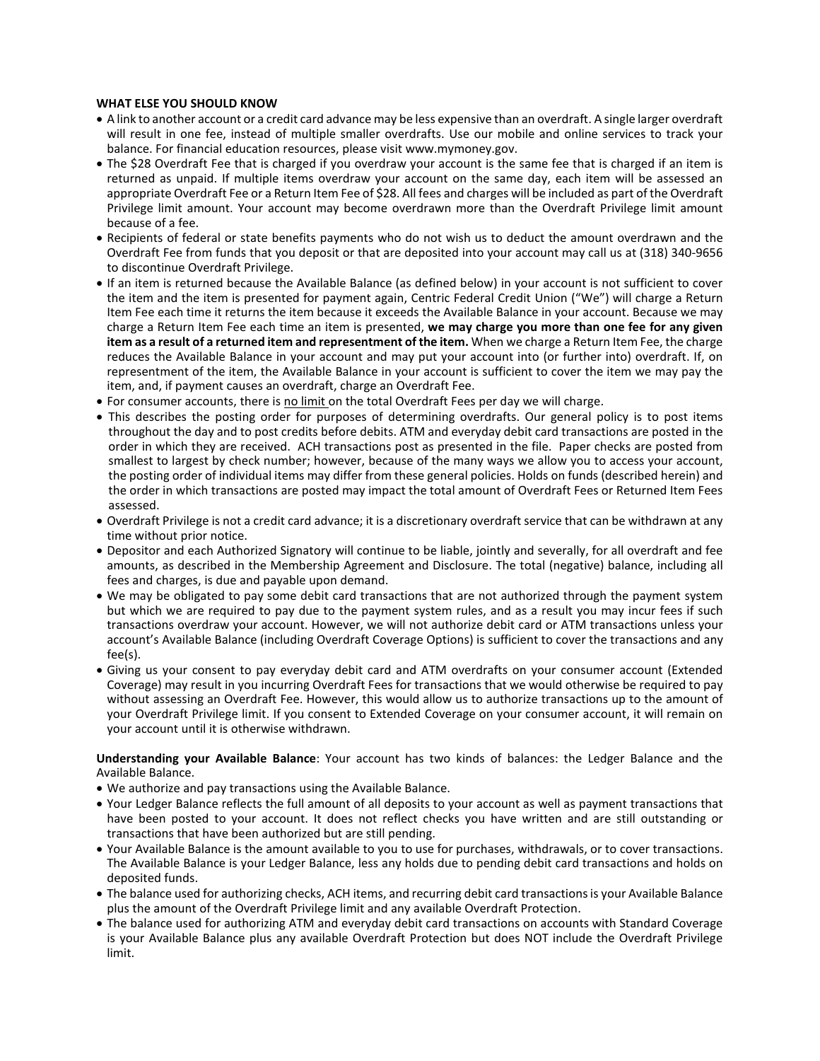## **WHAT ELSE YOU SHOULD KNOW**

- A link to another account or a credit card advance may be less expensive than an overdraft. A single larger overdraft will result in one fee, instead of multiple smaller overdrafts. Use our mobile and online services to track your balance. For financial education resources, please visit www.mymoney.gov.
- The \$28 Overdraft Fee that is charged if you overdraw your account is the same fee that is charged if an item is returned as unpaid. If multiple items overdraw your account on the same day, each item will be assessed an appropriate Overdraft Fee or a Return Item Fee of \$28. All fees and charges will be included as part of the Overdraft Privilege limit amount. Your account may become overdrawn more than the Overdraft Privilege limit amount because of a fee.
- Recipients of federal or state benefits payments who do not wish us to deduct the amount overdrawn and the Overdraft Fee from funds that you deposit or that are deposited into your account may call us at (318) 340-9656 to discontinue Overdraft Privilege.
- If an item is returned because the Available Balance (as defined below) in your account is not sufficient to cover the item and the item is presented for payment again, Centric Federal Credit Union ("We") will charge a Return Item Fee each time it returns the item because it exceeds the Available Balance in your account. Because we may charge a Return Item Fee each time an item is presented, **we may charge you more than one fee for any given item as a result of a returned item and representment of the item.** When we charge a Return Item Fee, the charge reduces the Available Balance in your account and may put your account into (or further into) overdraft. If, on representment of the item, the Available Balance in your account is sufficient to cover the item we may pay the item, and, if payment causes an overdraft, charge an Overdraft Fee.
- For consumer accounts, there is no limit on the total Overdraft Fees per day we will charge.
- This describes the posting order for purposes of determining overdrafts. Our general policy is to post items throughout the day and to post credits before debits. ATM and everyday debit card transactions are posted in the order in which they are received. ACH transactions post as presented in the file. Paper checks are posted from smallest to largest by check number; however, because of the many ways we allow you to access your account, the posting order of individual items may differ from these general policies. Holds on funds (described herein) and the order in which transactions are posted may impact the total amount of Overdraft Fees or Returned Item Fees assessed.
- Overdraft Privilege is not a credit card advance; it is a discretionary overdraft service that can be withdrawn at any time without prior notice.
- Depositor and each Authorized Signatory will continue to be liable, jointly and severally, for all overdraft and fee amounts, as described in the Membership Agreement and Disclosure. The total (negative) balance, including all fees and charges, is due and payable upon demand.
- We may be obligated to pay some debit card transactions that are not authorized through the payment system but which we are required to pay due to the payment system rules, and as a result you may incur fees if such transactions overdraw your account. However, we will not authorize debit card or ATM transactions unless your account's Available Balance (including Overdraft Coverage Options) is sufficient to cover the transactions and any fee(s).
- Giving us your consent to pay everyday debit card and ATM overdrafts on your consumer account (Extended Coverage) may result in you incurring Overdraft Fees for transactions that we would otherwise be required to pay without assessing an Overdraft Fee. However, this would allow us to authorize transactions up to the amount of your Overdraft Privilege limit. If you consent to Extended Coverage on your consumer account, it will remain on your account until it is otherwise withdrawn.

**Understanding your Available Balance**: Your account has two kinds of balances: the Ledger Balance and the Available Balance.

- We authorize and pay transactions using the Available Balance.
- Your Ledger Balance reflects the full amount of all deposits to your account as well as payment transactions that have been posted to your account. It does not reflect checks you have written and are still outstanding or transactions that have been authorized but are still pending.
- Your Available Balance is the amount available to you to use for purchases, withdrawals, or to cover transactions. The Available Balance is your Ledger Balance, less any holds due to pending debit card transactions and holds on deposited funds.
- The balance used for authorizing checks, ACH items, and recurring debit card transactions is your Available Balance plus the amount of the Overdraft Privilege limit and any available Overdraft Protection.
- The balance used for authorizing ATM and everyday debit card transactions on accounts with Standard Coverage is your Available Balance plus any available Overdraft Protection but does NOT include the Overdraft Privilege limit.